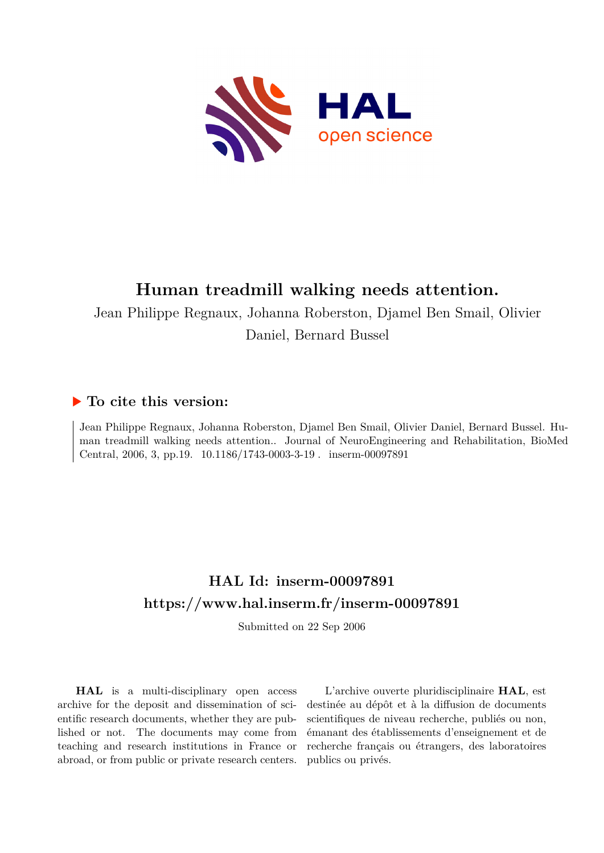

# **Human treadmill walking needs attention.**

Jean Philippe Regnaux, Johanna Roberston, Djamel Ben Smail, Olivier Daniel, Bernard Bussel

### **To cite this version:**

Jean Philippe Regnaux, Johanna Roberston, Djamel Ben Smail, Olivier Daniel, Bernard Bussel. Human treadmill walking needs attention.. Journal of NeuroEngineering and Rehabilitation, BioMed Central, 2006, 3, pp.19.  $10.1186/1743-0003-3-19$ . inserm-00097891

## **HAL Id: inserm-00097891 <https://www.hal.inserm.fr/inserm-00097891>**

Submitted on 22 Sep 2006

**HAL** is a multi-disciplinary open access archive for the deposit and dissemination of scientific research documents, whether they are published or not. The documents may come from teaching and research institutions in France or abroad, or from public or private research centers.

L'archive ouverte pluridisciplinaire **HAL**, est destinée au dépôt et à la diffusion de documents scientifiques de niveau recherche, publiés ou non, émanant des établissements d'enseignement et de recherche français ou étrangers, des laboratoires publics ou privés.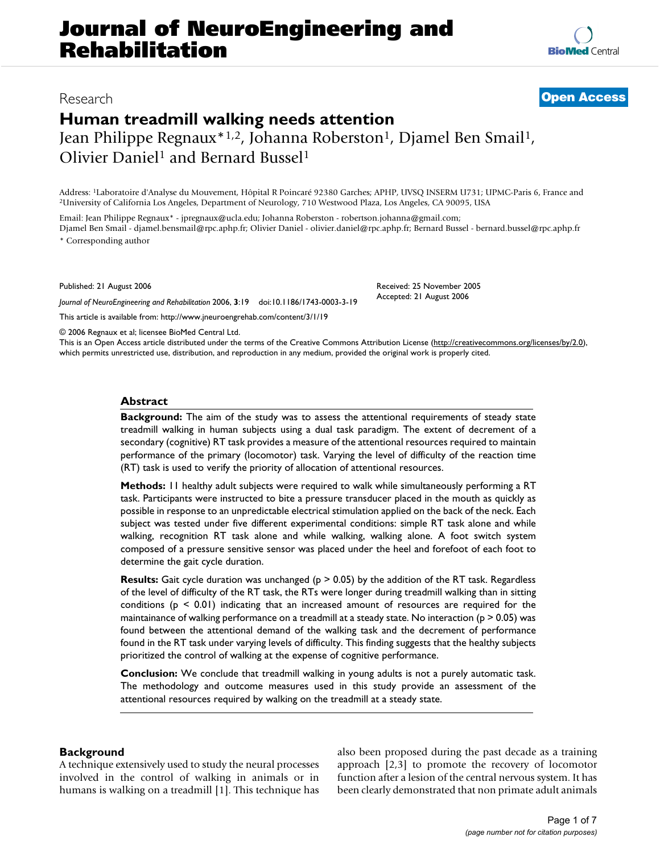# Journal of NeuroEngineering and Rehabilitation

### **Human treadmill walking needs attention**

Jean Philippe Regnaux<sup>\*1,2</sup>, Johanna Roberston<sup>1</sup>, Djamel Ben Smail<sup>1</sup>, Olivier Daniel<sup>1</sup> and Bernard Bussel<sup>1</sup>

Address: <sup>1</sup>Laboratoire d'Analyse du Mouvement, Hôpital R Poincaré 92380 Garches; APHP, UVSQ INSERM U731; UPMC-Paris 6, France and <sup>2</sup>University of California Los Angeles, Department of Neurology, 710 Westwood Plaza, Los Angeles, CA 90095, USA

Email: Jean Philippe Regnaux\* - jpregnaux@ucla.edu; Johanna Roberston - robertson.johanna@gmail.com; Djamel Ben Smail - djamel.bensmail@rpc.aphp.fr; Olivier Daniel - olivier.daniel@rpc.aphp.fr; Bernard Bussel - bernard.bussel@rpc.aphp.fr

\* Corresponding author

Published: 21 August 2006

*Journal of NeuroEngineering and Rehabilitation* 2006, **3**:19 doi:10.1186/1743-0003-3-19

[This article is available from: http://www.jneuroengrehab.com/content/3/1/19](http://www.jneuroengrehab.com/content/3/1/19)

© 2006 Regnaux et al; licensee BioMed Central Ltd.

This is an Open Access article distributed under the terms of the Creative Commons Attribution License [\(http://creativecommons.org/licenses/by/2.0\)](http://creativecommons.org/licenses/by/2.0), which permits unrestricted use, distribution, and reproduction in any medium, provided the original work is properly cited.

#### **Abstract**

**Background:** The aim of the study was to assess the attentional requirements of steady state treadmill walking in human subjects using a dual task paradigm. The extent of decrement of a secondary (cognitive) RT task provides a measure of the attentional resources required to maintain performance of the primary (locomotor) task. Varying the level of difficulty of the reaction time (RT) task is used to verify the priority of allocation of attentional resources.

**Methods:** 11 healthy adult subjects were required to walk while simultaneously performing a RT task. Participants were instructed to bite a pressure transducer placed in the mouth as quickly as possible in response to an unpredictable electrical stimulation applied on the back of the neck. Each subject was tested under five different experimental conditions: simple RT task alone and while walking, recognition RT task alone and while walking, walking alone. A foot switch system composed of a pressure sensitive sensor was placed under the heel and forefoot of each foot to determine the gait cycle duration.

**Results:** Gait cycle duration was unchanged (p > 0.05) by the addition of the RT task. Regardless of the level of difficulty of the RT task, the RTs were longer during treadmill walking than in sitting conditions ( $p \le 0.01$ ) indicating that an increased amount of resources are required for the maintainance of walking performance on a treadmill at a steady state. No interaction (p > 0.05) was found between the attentional demand of the walking task and the decrement of performance found in the RT task under varying levels of difficulty. This finding suggests that the healthy subjects prioritized the control of walking at the expense of cognitive performance.

**Conclusion:** We conclude that treadmill walking in young adults is not a purely automatic task. The methodology and outcome measures used in this study provide an assessment of the attentional resources required by walking on the treadmill at a steady state.

### **Background**

A technique extensively used to study the neural processes involved in the control of walking in animals or in humans is walking on a treadmill [1]. This technique has also been proposed during the past decade as a training approach [2,3] to promote the recovery of locomotor function after a lesion of the central nervous system. It has been clearly demonstrated that non primate adult animals



Received: 25 November 2005 Accepted: 21 August 2006

Research [Open Access](http://www.biomedcentral.com/info/about/charter/)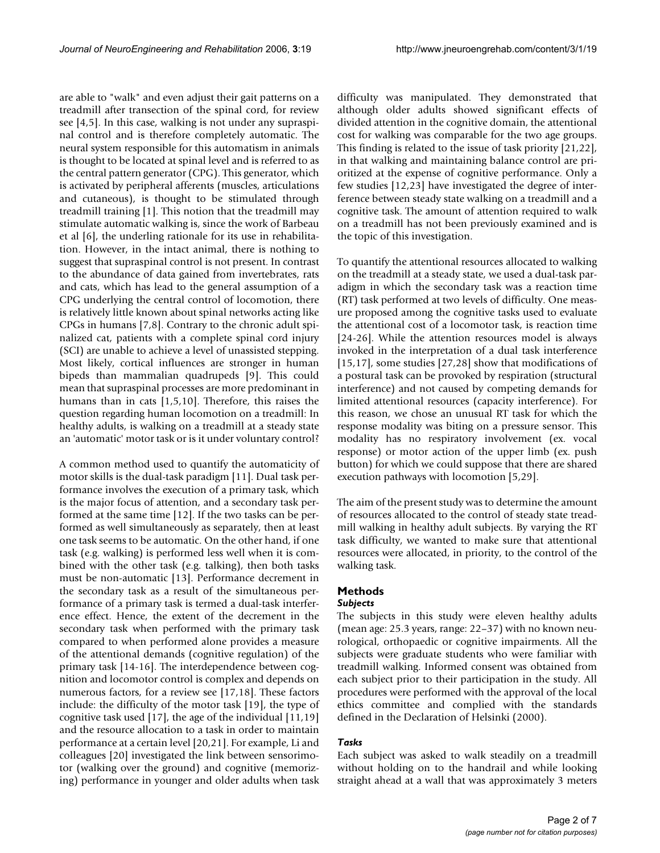are able to "walk" and even adjust their gait patterns on a treadmill after transection of the spinal cord, for review see [4,5]. In this case, walking is not under any supraspinal control and is therefore completely automatic. The neural system responsible for this automatism in animals is thought to be located at spinal level and is referred to as the central pattern generator (CPG). This generator, which is activated by peripheral afferents (muscles, articulations and cutaneous), is thought to be stimulated through treadmill training [1]. This notion that the treadmill may stimulate automatic walking is, since the work of Barbeau et al [6], the underling rationale for its use in rehabilitation. However, in the intact animal, there is nothing to suggest that supraspinal control is not present. In contrast to the abundance of data gained from invertebrates, rats and cats, which has lead to the general assumption of a CPG underlying the central control of locomotion, there is relatively little known about spinal networks acting like CPGs in humans [7,8]. Contrary to the chronic adult spinalized cat, patients with a complete spinal cord injury (SCI) are unable to achieve a level of unassisted stepping. Most likely, cortical influences are stronger in human bipeds than mammalian quadrupeds [9]. This could mean that supraspinal processes are more predominant in humans than in cats [1,5,10]. Therefore, this raises the question regarding human locomotion on a treadmill: In healthy adults, is walking on a treadmill at a steady state an 'automatic' motor task or is it under voluntary control?

A common method used to quantify the automaticity of motor skills is the dual-task paradigm [11]. Dual task performance involves the execution of a primary task, which is the major focus of attention, and a secondary task performed at the same time [12]. If the two tasks can be performed as well simultaneously as separately, then at least one task seems to be automatic. On the other hand, if one task (e.g. walking) is performed less well when it is combined with the other task (e.g. talking), then both tasks must be non-automatic [13]. Performance decrement in the secondary task as a result of the simultaneous performance of a primary task is termed a dual-task interference effect. Hence, the extent of the decrement in the secondary task when performed with the primary task compared to when performed alone provides a measure of the attentional demands (cognitive regulation) of the primary task [14-16]. The interdependence between cognition and locomotor control is complex and depends on numerous factors, for a review see [17,18]. These factors include: the difficulty of the motor task [19], the type of cognitive task used [17], the age of the individual [11,19] and the resource allocation to a task in order to maintain performance at a certain level [20,21]. For example, Li and colleagues [20] investigated the link between sensorimotor (walking over the ground) and cognitive (memorizing) performance in younger and older adults when task difficulty was manipulated. They demonstrated that although older adults showed significant effects of divided attention in the cognitive domain, the attentional cost for walking was comparable for the two age groups. This finding is related to the issue of task priority [21,22], in that walking and maintaining balance control are prioritized at the expense of cognitive performance. Only a few studies [12,23] have investigated the degree of interference between steady state walking on a treadmill and a cognitive task. The amount of attention required to walk on a treadmill has not been previously examined and is the topic of this investigation.

To quantify the attentional resources allocated to walking on the treadmill at a steady state, we used a dual-task paradigm in which the secondary task was a reaction time (RT) task performed at two levels of difficulty. One measure proposed among the cognitive tasks used to evaluate the attentional cost of a locomotor task, is reaction time [24-26]. While the attention resources model is always invoked in the interpretation of a dual task interference [15,17], some studies [27,28] show that modifications of a postural task can be provoked by respiration (structural interference) and not caused by competing demands for limited attentional resources (capacity interference). For this reason, we chose an unusual RT task for which the response modality was biting on a pressure sensor. This modality has no respiratory involvement (ex. vocal response) or motor action of the upper limb (ex. push button) for which we could suppose that there are shared execution pathways with locomotion [5,29].

The aim of the present study was to determine the amount of resources allocated to the control of steady state treadmill walking in healthy adult subjects. By varying the RT task difficulty, we wanted to make sure that attentional resources were allocated, in priority, to the control of the walking task.

### **Methods**

#### *Subjects*

The subjects in this study were eleven healthy adults (mean age: 25.3 years, range: 22–37) with no known neurological, orthopaedic or cognitive impairments. All the subjects were graduate students who were familiar with treadmill walking. Informed consent was obtained from each subject prior to their participation in the study. All procedures were performed with the approval of the local ethics committee and complied with the standards defined in the Declaration of Helsinki (2000).

#### *Tasks*

Each subject was asked to walk steadily on a treadmill without holding on to the handrail and while looking straight ahead at a wall that was approximately 3 meters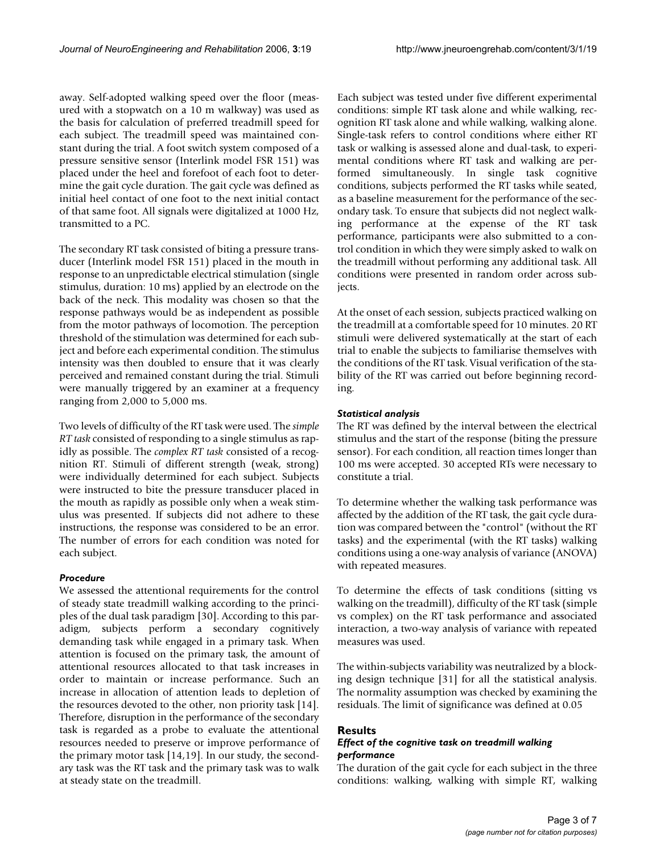away. Self-adopted walking speed over the floor (measured with a stopwatch on a 10 m walkway) was used as the basis for calculation of preferred treadmill speed for each subject. The treadmill speed was maintained constant during the trial. A foot switch system composed of a pressure sensitive sensor (Interlink model FSR 151) was placed under the heel and forefoot of each foot to determine the gait cycle duration. The gait cycle was defined as initial heel contact of one foot to the next initial contact of that same foot. All signals were digitalized at 1000 Hz, transmitted to a PC.

The secondary RT task consisted of biting a pressure transducer (Interlink model FSR 151) placed in the mouth in response to an unpredictable electrical stimulation (single stimulus, duration: 10 ms) applied by an electrode on the back of the neck. This modality was chosen so that the response pathways would be as independent as possible from the motor pathways of locomotion. The perception threshold of the stimulation was determined for each subject and before each experimental condition. The stimulus intensity was then doubled to ensure that it was clearly perceived and remained constant during the trial. Stimuli were manually triggered by an examiner at a frequency ranging from 2,000 to 5,000 ms.

Two levels of difficulty of the RT task were used. The *simple RT task* consisted of responding to a single stimulus as rapidly as possible. The *complex RT task* consisted of a recognition RT. Stimuli of different strength (weak, strong) were individually determined for each subject. Subjects were instructed to bite the pressure transducer placed in the mouth as rapidly as possible only when a weak stimulus was presented. If subjects did not adhere to these instructions, the response was considered to be an error. The number of errors for each condition was noted for each subject.

#### *Procedure*

We assessed the attentional requirements for the control of steady state treadmill walking according to the principles of the dual task paradigm [30]. According to this paradigm, subjects perform a secondary cognitively demanding task while engaged in a primary task. When attention is focused on the primary task, the amount of attentional resources allocated to that task increases in order to maintain or increase performance. Such an increase in allocation of attention leads to depletion of the resources devoted to the other, non priority task [14]. Therefore, disruption in the performance of the secondary task is regarded as a probe to evaluate the attentional resources needed to preserve or improve performance of the primary motor task [14,19]. In our study, the secondary task was the RT task and the primary task was to walk at steady state on the treadmill.

Each subject was tested under five different experimental conditions: simple RT task alone and while walking, recognition RT task alone and while walking, walking alone. Single-task refers to control conditions where either RT task or walking is assessed alone and dual-task, to experimental conditions where RT task and walking are performed simultaneously. In single task cognitive conditions, subjects performed the RT tasks while seated, as a baseline measurement for the performance of the secondary task. To ensure that subjects did not neglect walking performance at the expense of the RT task performance, participants were also submitted to a control condition in which they were simply asked to walk on the treadmill without performing any additional task. All conditions were presented in random order across subjects.

At the onset of each session, subjects practiced walking on the treadmill at a comfortable speed for 10 minutes. 20 RT stimuli were delivered systematically at the start of each trial to enable the subjects to familiarise themselves with the conditions of the RT task. Visual verification of the stability of the RT was carried out before beginning recording.

#### *Statistical analysis*

The RT was defined by the interval between the electrical stimulus and the start of the response (biting the pressure sensor). For each condition, all reaction times longer than 100 ms were accepted. 30 accepted RTs were necessary to constitute a trial.

To determine whether the walking task performance was affected by the addition of the RT task, the gait cycle duration was compared between the "control" (without the RT tasks) and the experimental (with the RT tasks) walking conditions using a one-way analysis of variance (ANOVA) with repeated measures.

To determine the effects of task conditions (sitting vs walking on the treadmill), difficulty of the RT task (simple vs complex) on the RT task performance and associated interaction, a two-way analysis of variance with repeated measures was used.

The within-subjects variability was neutralized by a blocking design technique [31] for all the statistical analysis. The normality assumption was checked by examining the residuals. The limit of significance was defined at 0.05

#### **Results**

#### *Effect of the cognitive task on treadmill walking performance*

The duration of the gait cycle for each subject in the three conditions: walking, walking with simple RT, walking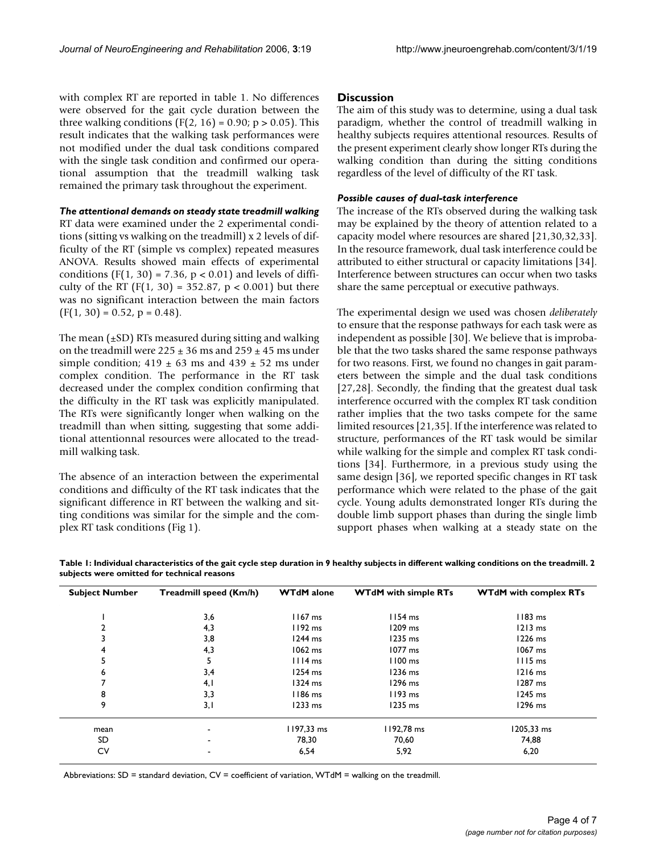with complex RT are reported in table 1. No differences were observed for the gait cycle duration between the three walking conditions (F(2, 16) = 0.90;  $p > 0.05$ ). This result indicates that the walking task performances were not modified under the dual task conditions compared with the single task condition and confirmed our operational assumption that the treadmill walking task remained the primary task throughout the experiment.

#### *The attentional demands on steady state treadmill walking*

RT data were examined under the 2 experimental conditions (sitting vs walking on the treadmill) x 2 levels of difficulty of the RT (simple vs complex) repeated measures ANOVA. Results showed main effects of experimental conditions (F(1, 30) = 7.36,  $p < 0.01$ ) and levels of difficulty of the RT (F(1, 30) = 352.87,  $p < 0.001$ ) but there was no significant interaction between the main factors  $(F(1, 30) = 0.52, p = 0.48).$ 

The mean  $(\pm SD)$  RTs measured during sitting and walking on the treadmill were  $225 \pm 36$  ms and  $259 \pm 45$  ms under simple condition; 419  $\pm$  63 ms and 439  $\pm$  52 ms under complex condition. The performance in the RT task decreased under the complex condition confirming that the difficulty in the RT task was explicitly manipulated. The RTs were significantly longer when walking on the treadmill than when sitting, suggesting that some additional attentionnal resources were allocated to the treadmill walking task.

The absence of an interaction between the experimental conditions and difficulty of the RT task indicates that the significant difference in RT between the walking and sitting conditions was similar for the simple and the complex RT task conditions (Fig 1).

#### **Discussion**

The aim of this study was to determine, using a dual task paradigm, whether the control of treadmill walking in healthy subjects requires attentional resources. Results of the present experiment clearly show longer RTs during the walking condition than during the sitting conditions regardless of the level of difficulty of the RT task.

#### *Possible causes of dual-task interference*

The increase of the RTs observed during the walking task may be explained by the theory of attention related to a capacity model where resources are shared [21,30,32,33]. In the resource framework, dual task interference could be attributed to either structural or capacity limitations [34]. Interference between structures can occur when two tasks share the same perceptual or executive pathways.

The experimental design we used was chosen *deliberately* to ensure that the response pathways for each task were as independent as possible [30]. We believe that is improbable that the two tasks shared the same response pathways for two reasons. First, we found no changes in gait parameters between the simple and the dual task conditions [27,28]. Secondly, the finding that the greatest dual task interference occurred with the complex RT task condition rather implies that the two tasks compete for the same limited resources [21,35]. If the interference was related to structure, performances of the RT task would be similar while walking for the simple and complex RT task conditions [34]. Furthermore, in a previous study using the same design [36], we reported specific changes in RT task performance which were related to the phase of the gait cycle. Young adults demonstrated longer RTs during the double limb support phases than during the single limb support phases when walking at a steady state on the

| Table 1: Individual characteristics of the gait cycle step duration in 9 healthy subjects in different walking conditions on the treadmill. 2 |  |
|-----------------------------------------------------------------------------------------------------------------------------------------------|--|
| subjects were omitted for technical reasons                                                                                                   |  |

| <b>Subject Number</b> | Treadmill speed (Km/h) | <b>WTdM</b> alone | <b>WTdM with simple RTs</b> | <b>WTdM with complex RTs</b> |
|-----------------------|------------------------|-------------------|-----------------------------|------------------------------|
|                       | 3,6                    | $1167$ ms         | $1154$ ms                   | $1183$ ms                    |
|                       | 4,3                    | $1192$ ms         | $1209$ ms                   | $1213$ ms                    |
|                       | 3,8                    | $1244$ ms         | $1235$ ms                   | $1226$ ms                    |
|                       | 4,3                    | 1062 ms           | $1077$ ms                   | $1067$ ms                    |
|                       | 5                      | $1114 \text{ ms}$ | $1100$ ms                   | $1115$ ms                    |
| 6                     | 3,4                    | $1254$ ms         | $1236$ ms                   | $1216$ ms                    |
|                       | 4,1                    | 1324 ms           | $1296$ ms                   | $1287$ ms                    |
| 8                     | 3,3                    | 1186 ms           | $1193$ ms                   | $1245$ ms                    |
| 9                     | 3,1                    | $1233$ ms         | $1235$ ms                   | 1296 ms                      |
| mean                  |                        | 1197,33 ms        | 1192,78 ms                  | 1205,33 ms                   |
| SD                    |                        | 78,30             | 70,60                       | 74,88                        |
| CV                    |                        | 6,54              | 5,92                        | 6,20                         |

Abbreviations: SD = standard deviation, CV = coefficient of variation, WTdM = walking on the treadmill.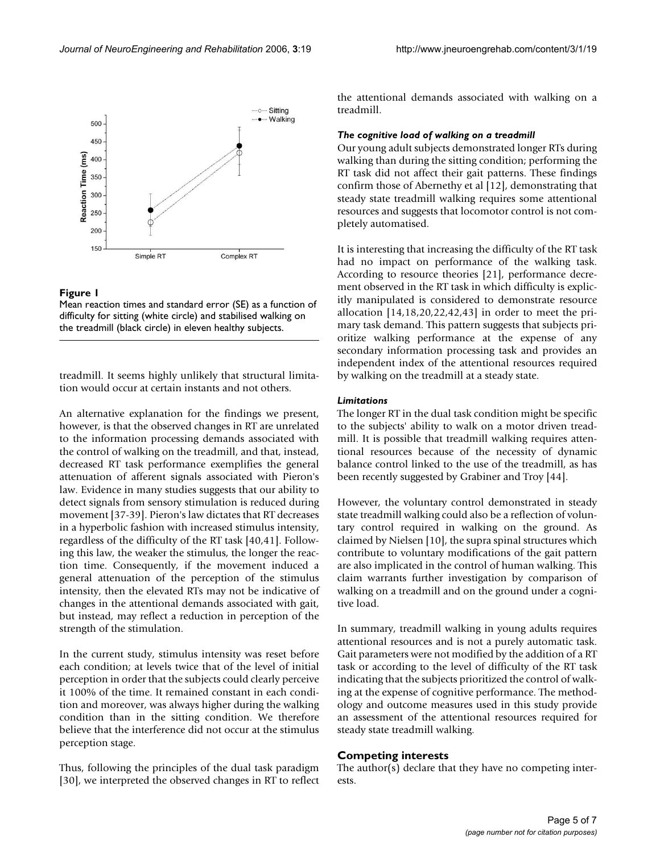

#### Figure 1

Mean reaction times and standard error (SE) as a function of difficulty for sitting (white circle) and stabilised walking on the treadmill (black circle) in eleven healthy subjects.

treadmill. It seems highly unlikely that structural limitation would occur at certain instants and not others.

An alternative explanation for the findings we present, however, is that the observed changes in RT are unrelated to the information processing demands associated with the control of walking on the treadmill, and that, instead, decreased RT task performance exemplifies the general attenuation of afferent signals associated with Pieron's law. Evidence in many studies suggests that our ability to detect signals from sensory stimulation is reduced during movement [37-39]. Pieron's law dictates that RT decreases in a hyperbolic fashion with increased stimulus intensity, regardless of the difficulty of the RT task [40,41]. Following this law, the weaker the stimulus, the longer the reaction time. Consequently, if the movement induced a general attenuation of the perception of the stimulus intensity, then the elevated RTs may not be indicative of changes in the attentional demands associated with gait, but instead, may reflect a reduction in perception of the strength of the stimulation.

In the current study, stimulus intensity was reset before each condition; at levels twice that of the level of initial perception in order that the subjects could clearly perceive it 100% of the time. It remained constant in each condition and moreover, was always higher during the walking condition than in the sitting condition. We therefore believe that the interference did not occur at the stimulus perception stage.

Thus, following the principles of the dual task paradigm [30], we interpreted the observed changes in RT to reflect

the attentional demands associated with walking on a treadmill.

#### *The cognitive load of walking on a treadmill*

Our young adult subjects demonstrated longer RTs during walking than during the sitting condition; performing the RT task did not affect their gait patterns. These findings confirm those of Abernethy et al [12], demonstrating that steady state treadmill walking requires some attentional resources and suggests that locomotor control is not completely automatised.

It is interesting that increasing the difficulty of the RT task had no impact on performance of the walking task. According to resource theories [21], performance decrement observed in the RT task in which difficulty is explicitly manipulated is considered to demonstrate resource allocation [14,18,20,22,42,43] in order to meet the primary task demand. This pattern suggests that subjects prioritize walking performance at the expense of any secondary information processing task and provides an independent index of the attentional resources required by walking on the treadmill at a steady state.

#### *Limitations*

The longer RT in the dual task condition might be specific to the subjects' ability to walk on a motor driven treadmill. It is possible that treadmill walking requires attentional resources because of the necessity of dynamic balance control linked to the use of the treadmill, as has been recently suggested by Grabiner and Troy [44].

However, the voluntary control demonstrated in steady state treadmill walking could also be a reflection of voluntary control required in walking on the ground. As claimed by Nielsen [10], the supra spinal structures which contribute to voluntary modifications of the gait pattern are also implicated in the control of human walking. This claim warrants further investigation by comparison of walking on a treadmill and on the ground under a cognitive load.

In summary, treadmill walking in young adults requires attentional resources and is not a purely automatic task. Gait parameters were not modified by the addition of a RT task or according to the level of difficulty of the RT task indicating that the subjects prioritized the control of walking at the expense of cognitive performance. The methodology and outcome measures used in this study provide an assessment of the attentional resources required for steady state treadmill walking.

### **Competing interests**

The author(s) declare that they have no competing interests.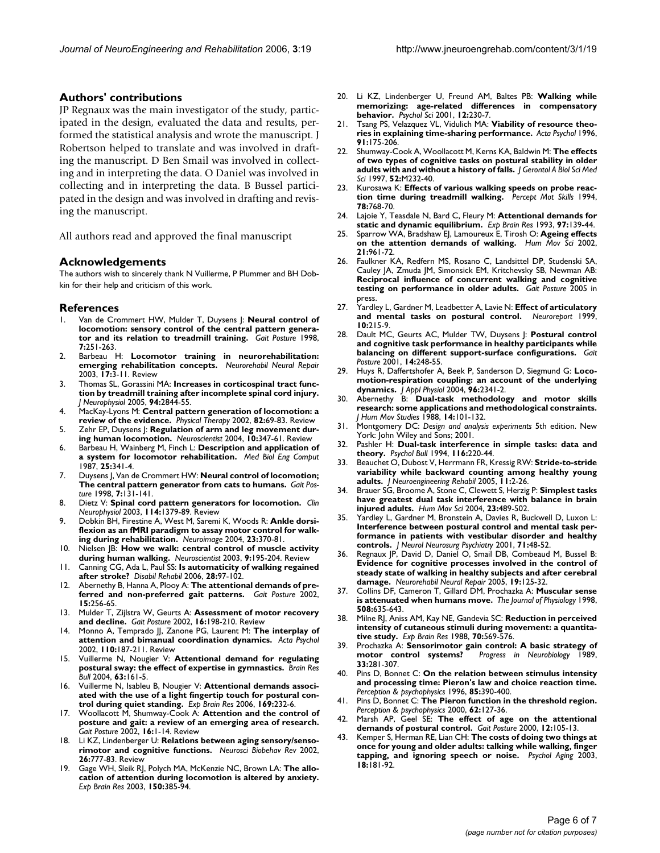#### **Authors' contributions**

JP Regnaux was the main investigator of the study, participated in the design, evaluated the data and results, performed the statistical analysis and wrote the manuscript. J Robertson helped to translate and was involved in drafting the manuscript. D Ben Smail was involved in collecting and in interpreting the data. O Daniel was involved in collecting and in interpreting the data. B Bussel participated in the design and was involved in drafting and revising the manuscript.

All authors read and approved the final manuscript

#### **Acknowledgements**

The authors wish to sincerely thank N Vuillerme, P Plummer and BH Dobkin for their help and criticism of this work.

#### **References**

- 1. Van de Crommert HW, Mulder T, Duysens J: **[Neural control of](http://www.ncbi.nlm.nih.gov/entrez/query.fcgi?cmd=Retrieve&db=PubMed&dopt=Abstract&list_uids=10200392) [locomotion: sensory control of the central pattern genera](http://www.ncbi.nlm.nih.gov/entrez/query.fcgi?cmd=Retrieve&db=PubMed&dopt=Abstract&list_uids=10200392)[tor and its relation to treadmill training.](http://www.ncbi.nlm.nih.gov/entrez/query.fcgi?cmd=Retrieve&db=PubMed&dopt=Abstract&list_uids=10200392)** *Gait Posture* 1998, **7:**251-263.
- 2. Barbeau H: **[Locomotor training in neurorehabilitation:](http://www.ncbi.nlm.nih.gov/entrez/query.fcgi?cmd=Retrieve&db=PubMed&dopt=Abstract&list_uids=12645440) [emerging rehabilitation concepts.](http://www.ncbi.nlm.nih.gov/entrez/query.fcgi?cmd=Retrieve&db=PubMed&dopt=Abstract&list_uids=12645440)** *Neurorehabil Neural Repair* 2003, **17:**3-11. Review
- 3. Thomas SL, Gorassini MA: **[Increases in corticospinal tract func](http://www.ncbi.nlm.nih.gov/entrez/query.fcgi?cmd=Retrieve&db=PubMed&dopt=Abstract&list_uids=16000519)[tion by treadmill training after incomplete spinal cord injury.](http://www.ncbi.nlm.nih.gov/entrez/query.fcgi?cmd=Retrieve&db=PubMed&dopt=Abstract&list_uids=16000519)** *J Neurophysiol* 2005, **94:**2844-55.
- 4. MacKay-Lyons M: **[Central pattern generation of locomotion: a](http://www.ncbi.nlm.nih.gov/entrez/query.fcgi?cmd=Retrieve&db=PubMed&dopt=Abstract&list_uids=11784280) [review of the evidence.](http://www.ncbi.nlm.nih.gov/entrez/query.fcgi?cmd=Retrieve&db=PubMed&dopt=Abstract&list_uids=11784280)** *Physical Therapy* 2002, **82:**69-83. Review
- 5. Zehr EP, Duysens |: **[Regulation of arm and leg movement dur](http://www.ncbi.nlm.nih.gov/entrez/query.fcgi?cmd=Retrieve&db=PubMed&dopt=Abstract&list_uids=15271262)[ing human locomotion.](http://www.ncbi.nlm.nih.gov/entrez/query.fcgi?cmd=Retrieve&db=PubMed&dopt=Abstract&list_uids=15271262)** *Neuroscientist* 2004, **10:**347-61. Review
- 6. Barbeau H, Wainberg M, Finch L: **[Description and application of](http://www.ncbi.nlm.nih.gov/entrez/query.fcgi?cmd=Retrieve&db=PubMed&dopt=Abstract&list_uids=3449731) [a system for locomotor rehabilitation.](http://www.ncbi.nlm.nih.gov/entrez/query.fcgi?cmd=Retrieve&db=PubMed&dopt=Abstract&list_uids=3449731)** *Med Biol Eng Comput* 1987, **25:**341-4.
- 7. Duysens J, Van de Crommert HW: **[Neural control of locomotion;](http://www.ncbi.nlm.nih.gov/entrez/query.fcgi?cmd=Retrieve&db=PubMed&dopt=Abstract&list_uids=10200383) [The central pattern generator from cats to humans.](http://www.ncbi.nlm.nih.gov/entrez/query.fcgi?cmd=Retrieve&db=PubMed&dopt=Abstract&list_uids=10200383)** *Gait Posture* 1998, **7:**131-141.
- 8. Dietz V: **[Spinal cord pattern generators for locomotion.](http://www.ncbi.nlm.nih.gov/entrez/query.fcgi?cmd=Retrieve&db=PubMed&dopt=Abstract&list_uids=12888019)** *Clin Neurophysiol* 2003, **114:**1379-89. Review
- 9. Dobkin BH, Firestine A, West M, Saremi K, Woods R: **[Ankle dorsi](http://www.ncbi.nlm.nih.gov/entrez/query.fcgi?cmd=Retrieve&db=PubMed&dopt=Abstract&list_uids=15325385)[flexion as an fMRI paradigm to assay motor control for walk](http://www.ncbi.nlm.nih.gov/entrez/query.fcgi?cmd=Retrieve&db=PubMed&dopt=Abstract&list_uids=15325385)[ing during rehabilitation.](http://www.ncbi.nlm.nih.gov/entrez/query.fcgi?cmd=Retrieve&db=PubMed&dopt=Abstract&list_uids=15325385)** *Neuroimage* 2004, **23:**370-81.
- 10. Nielsen JB: **[How we walk: central control of muscle activity](http://www.ncbi.nlm.nih.gov/entrez/query.fcgi?cmd=Retrieve&db=PubMed&dopt=Abstract&list_uids=15065815) [during human walking.](http://www.ncbi.nlm.nih.gov/entrez/query.fcgi?cmd=Retrieve&db=PubMed&dopt=Abstract&list_uids=15065815)** *Neuroscientist* 2003, **9:**195-204. Review
- 11. Canning CG, Ada L, Paul SS: **[Is automaticity of walking regained](http://www.ncbi.nlm.nih.gov/entrez/query.fcgi?cmd=Retrieve&db=PubMed&dopt=Abstract&list_uids=16393839) [after stroke?](http://www.ncbi.nlm.nih.gov/entrez/query.fcgi?cmd=Retrieve&db=PubMed&dopt=Abstract&list_uids=16393839)** *Disabil Rehabil* 2006, **28:**97-102.
- 12. Abernethy B, Hanna A, Plooy A: **[The attentional demands of pre](http://www.ncbi.nlm.nih.gov/entrez/query.fcgi?cmd=Retrieve&db=PubMed&dopt=Abstract&list_uids=11983500)[ferred and non-preferred gait patterns.](http://www.ncbi.nlm.nih.gov/entrez/query.fcgi?cmd=Retrieve&db=PubMed&dopt=Abstract&list_uids=11983500)** *Gait Posture* 2002, **15:**256-65.
- 13. Mulder T, Zijlstra W, Geurts A: **[Assessment of motor recovery](http://www.ncbi.nlm.nih.gov/entrez/query.fcgi?cmd=Retrieve&db=PubMed&dopt=Abstract&list_uids=12297260) [and decline.](http://www.ncbi.nlm.nih.gov/entrez/query.fcgi?cmd=Retrieve&db=PubMed&dopt=Abstract&list_uids=12297260)** *Gait Posture* 2002, **16:**198-210. Review
- 14. Monno A, Temprado JJ, Zanone PG, Laurent M: The interplay of **attention and bimanual coordination dynamics.** *Acta Psychol* 2002, **110:**187-211. Review
- 15. Vuillerme N, Nougier V: **[Attentional demand for regulating](http://www.ncbi.nlm.nih.gov/entrez/query.fcgi?cmd=Retrieve&db=PubMed&dopt=Abstract&list_uids=15130706) [postural sway: the effect of expertise in gymnastics.](http://www.ncbi.nlm.nih.gov/entrez/query.fcgi?cmd=Retrieve&db=PubMed&dopt=Abstract&list_uids=15130706)** *Brain Res Bull* 2004, **63:**161-5.
- 16. Vuillerme N, Isableu B, Nougier V: **[Attentional demands associ](http://www.ncbi.nlm.nih.gov/entrez/query.fcgi?cmd=Retrieve&db=PubMed&dopt=Abstract&list_uids=16273399)[ated with the use of a light fingertip touch for postural con](http://www.ncbi.nlm.nih.gov/entrez/query.fcgi?cmd=Retrieve&db=PubMed&dopt=Abstract&list_uids=16273399)[trol during quiet standing.](http://www.ncbi.nlm.nih.gov/entrez/query.fcgi?cmd=Retrieve&db=PubMed&dopt=Abstract&list_uids=16273399)** *Exp Brain Res* 2006, **169:**232-6.
- 17. Woollacott M, Shumway-Cook A: **[Attention and the control of](http://www.ncbi.nlm.nih.gov/entrez/query.fcgi?cmd=Retrieve&db=PubMed&dopt=Abstract&list_uids=12127181) [posture and gait: a review of an emerging area of research.](http://www.ncbi.nlm.nih.gov/entrez/query.fcgi?cmd=Retrieve&db=PubMed&dopt=Abstract&list_uids=12127181)** *Gait Posture* 2002, **16:**1-14. Review
- 18. Li KZ, Lindenberger U: **[Relations between aging sensory/senso](http://www.ncbi.nlm.nih.gov/entrez/query.fcgi?cmd=Retrieve&db=PubMed&dopt=Abstract&list_uids=12470689)[rimotor and cognitive functions.](http://www.ncbi.nlm.nih.gov/entrez/query.fcgi?cmd=Retrieve&db=PubMed&dopt=Abstract&list_uids=12470689)** *Neurosci Biobehav Rev* 2002, **26:**777-83. Review
- 19. Gage WH, Sleik RJ, Polych MA, McKenzie NC, Brown LA: **[The allo](http://www.ncbi.nlm.nih.gov/entrez/query.fcgi?cmd=Retrieve&db=PubMed&dopt=Abstract&list_uids=12707746)[cation of attention during locomotion is altered by anxiety.](http://www.ncbi.nlm.nih.gov/entrez/query.fcgi?cmd=Retrieve&db=PubMed&dopt=Abstract&list_uids=12707746)** *Exp Brain Res* 2003, **150:**385-94.
- 20. Li KZ, Lindenberger U, Freund AM, Baltes PB: **[Walking while](http://www.ncbi.nlm.nih.gov/entrez/query.fcgi?cmd=Retrieve&db=PubMed&dopt=Abstract&list_uids=11437306) [memorizing: age-related differences in compensatory](http://www.ncbi.nlm.nih.gov/entrez/query.fcgi?cmd=Retrieve&db=PubMed&dopt=Abstract&list_uids=11437306) [behavior.](http://www.ncbi.nlm.nih.gov/entrez/query.fcgi?cmd=Retrieve&db=PubMed&dopt=Abstract&list_uids=11437306)** *Psychol Sci* 2001, **12:**230-7.
- 21. Tsang PS, Velazquez VL, Vidulich MA: **Viability of resource theories in explaining time-sharing performance.** *Acta Psychol* 1996, **91:**175-206.
- 22. Shumway-Cook A, Woollacott M, Kerns KA, Baldwin M: **[The effects](http://www.ncbi.nlm.nih.gov/entrez/query.fcgi?cmd=Retrieve&db=PubMed&dopt=Abstract&list_uids=9224435) [of two types of cognitive tasks on postural stability in older](http://www.ncbi.nlm.nih.gov/entrez/query.fcgi?cmd=Retrieve&db=PubMed&dopt=Abstract&list_uids=9224435) [adults with and without a history of falls.](http://www.ncbi.nlm.nih.gov/entrez/query.fcgi?cmd=Retrieve&db=PubMed&dopt=Abstract&list_uids=9224435)** *J Gerontol A Biol Sci Med Sci* 1997, **52:**M232-40.
- 23. Kurosawa K: **[Effects of various walking speeds on probe reac](http://www.ncbi.nlm.nih.gov/entrez/query.fcgi?cmd=Retrieve&db=PubMed&dopt=Abstract&list_uids=8084688)[tion time during treadmill walking.](http://www.ncbi.nlm.nih.gov/entrez/query.fcgi?cmd=Retrieve&db=PubMed&dopt=Abstract&list_uids=8084688)** *Percept Mot Skills* 1994, **78:**768-70.
- 24. Lajoie Y, Teasdale N, Bard C, Fleury M: **[Attentional demands for](http://www.ncbi.nlm.nih.gov/entrez/query.fcgi?cmd=Retrieve&db=PubMed&dopt=Abstract&list_uids=8131825) [static and dynamic equilibrium.](http://www.ncbi.nlm.nih.gov/entrez/query.fcgi?cmd=Retrieve&db=PubMed&dopt=Abstract&list_uids=8131825)** *Exp Brain Res* 1993, **97:**139-44.
- 25. Sparrow WA, Bradshaw EJ, Lamoureux E, Tirosh O: **[Ageing effects](http://www.ncbi.nlm.nih.gov/entrez/query.fcgi?cmd=Retrieve&db=PubMed&dopt=Abstract&list_uids=12620728) [on the attention demands of walking.](http://www.ncbi.nlm.nih.gov/entrez/query.fcgi?cmd=Retrieve&db=PubMed&dopt=Abstract&list_uids=12620728)** *Hum Mov Sci* 2002, **21:**961-72.
- 26. Faulkner KA, Redfern MS, Rosano C, Landsittel DP, Studenski SA, Cauley JA, Zmuda JM, Simonsick EM, Kritchevsky SB, Newman AB: **[Reciprocal influence of concurrent walking and cognitive](http://www.ncbi.nlm.nih.gov/entrez/query.fcgi?cmd=Retrieve&db=PubMed&dopt=Abstract&list_uids=16168655) [testing on performance in older adults.](http://www.ncbi.nlm.nih.gov/entrez/query.fcgi?cmd=Retrieve&db=PubMed&dopt=Abstract&list_uids=16168655)** *Gait Posture* 2005 in press.
- 27. Yardley L, Gardner M, Leadbetter A, Lavie N: **[Effect of articulatory](http://www.ncbi.nlm.nih.gov/entrez/query.fcgi?cmd=Retrieve&db=PubMed&dopt=Abstract&list_uids=10203311) [and mental tasks on postural control.](http://www.ncbi.nlm.nih.gov/entrez/query.fcgi?cmd=Retrieve&db=PubMed&dopt=Abstract&list_uids=10203311)** *Neuroreport* 1999, **10:**215-9.
- 28. Dault MC, Geurts AC, Mulder TW, Duysens J: **[Postural control](http://www.ncbi.nlm.nih.gov/entrez/query.fcgi?cmd=Retrieve&db=PubMed&dopt=Abstract&list_uids=11600328) [and cognitive task performance in healthy participants while](http://www.ncbi.nlm.nih.gov/entrez/query.fcgi?cmd=Retrieve&db=PubMed&dopt=Abstract&list_uids=11600328) [balancing on different support-surface configurations.](http://www.ncbi.nlm.nih.gov/entrez/query.fcgi?cmd=Retrieve&db=PubMed&dopt=Abstract&list_uids=11600328)** *Gait Posture* 2001, **14:**248-55.
- 29. Huys R, Daffertshofer A, Beek P, Sanderson D, Siegmund G: **[Loco](http://www.ncbi.nlm.nih.gov/entrez/query.fcgi?cmd=Retrieve&db=PubMed&dopt=Abstract&list_uids=15133019)[motion-respiration coupling: an account of the underlying](http://www.ncbi.nlm.nih.gov/entrez/query.fcgi?cmd=Retrieve&db=PubMed&dopt=Abstract&list_uids=15133019) [dynamics.](http://www.ncbi.nlm.nih.gov/entrez/query.fcgi?cmd=Retrieve&db=PubMed&dopt=Abstract&list_uids=15133019)** *J Appl Physiol* 2004, **96:**2341-2.
- 30. Abernethy B: **Dual-task methodology and motor skills research: some applications and methodological constraints.** *J Hum Mov Studies* 1988, **14:**101-132.
- 31. Montgomery DC: *Design and analysis experiments* 5th edition. New York: John Wiley and Sons; 2001.
- 32. Pashler H: **[Dual-task interference in simple tasks: data and](http://www.ncbi.nlm.nih.gov/entrez/query.fcgi?cmd=Retrieve&db=PubMed&dopt=Abstract&list_uids=7972591) [theory.](http://www.ncbi.nlm.nih.gov/entrez/query.fcgi?cmd=Retrieve&db=PubMed&dopt=Abstract&list_uids=7972591)** *Psychol Bull* 1994, **116:**220-44.
- 33. Beauchet O, Dubost V, Herrmann FR, Kressig RW: **Stride-to-stride variability while backward counting among healthy young adults.** *J Neuroengineering Rehabil* 2005, **11:**2-26.
- 34. Brauer SG, Broome A, Stone C, Clewett S, Herzig P: **[Simplest tasks](http://www.ncbi.nlm.nih.gov/entrez/query.fcgi?cmd=Retrieve&db=PubMed&dopt=Abstract&list_uids=15541531) [have greatest dual task interference with balance in brain](http://www.ncbi.nlm.nih.gov/entrez/query.fcgi?cmd=Retrieve&db=PubMed&dopt=Abstract&list_uids=15541531) [injured adults.](http://www.ncbi.nlm.nih.gov/entrez/query.fcgi?cmd=Retrieve&db=PubMed&dopt=Abstract&list_uids=15541531)** *Hum Mov Sci* 2004, **23:**489-502.
- 35. Yardley L, Gardner M, Bronstein A, Davies R, Buckwell D, Luxon L: **Interference between postural control and mental task per[formance in patients with vestibular disorder and healthy](http://www.ncbi.nlm.nih.gov/entrez/query.fcgi?cmd=Retrieve&db=PubMed&dopt=Abstract&list_uids=11413261) [controls.](http://www.ncbi.nlm.nih.gov/entrez/query.fcgi?cmd=Retrieve&db=PubMed&dopt=Abstract&list_uids=11413261)** *J Neurol Neurosurg Psychiatry* 2001, **71:**48-52.
- 36. Regnaux JP, David D, Daniel O, Smail DB, Combeaud M, Bussel B: **Evidence for cognitive processes involved in the control of [steady state of walking in healthy subjects and after cerebral](http://www.ncbi.nlm.nih.gov/entrez/query.fcgi?cmd=Retrieve&db=PubMed&dopt=Abstract&list_uids=15883356) [damage.](http://www.ncbi.nlm.nih.gov/entrez/query.fcgi?cmd=Retrieve&db=PubMed&dopt=Abstract&list_uids=15883356)** *Neurorehabil Neural Repair* 2005, **19:**125-32.
- 37. Collins DF, Cameron T, Gillard DM, Prochazka A: **[Muscular sense](http://www.ncbi.nlm.nih.gov/entrez/query.fcgi?cmd=Retrieve&db=PubMed&dopt=Abstract&list_uids=9508825) [is attenuated when humans move.](http://www.ncbi.nlm.nih.gov/entrez/query.fcgi?cmd=Retrieve&db=PubMed&dopt=Abstract&list_uids=9508825)** *The Journal of Physiology* 1998, **508:**635-643.
- 38. Milne RJ, Aniss AM, Kay NE, Gandevia SC: **[Reduction in perceived](http://www.ncbi.nlm.nih.gov/entrez/query.fcgi?cmd=Retrieve&db=PubMed&dopt=Abstract&list_uids=3384055) [intensity of cutaneous stimuli during movement: a quantita](http://www.ncbi.nlm.nih.gov/entrez/query.fcgi?cmd=Retrieve&db=PubMed&dopt=Abstract&list_uids=3384055)[tive study.](http://www.ncbi.nlm.nih.gov/entrez/query.fcgi?cmd=Retrieve&db=PubMed&dopt=Abstract&list_uids=3384055)** *Exp Brain Res* 1988, **70:**569-576.
- 39. Prochazka A: **[Sensorimotor gain control: A basic strategy of](http://www.ncbi.nlm.nih.gov/entrez/query.fcgi?cmd=Retrieve&db=PubMed&dopt=Abstract&list_uids=2682784) [motor control systems?](http://www.ncbi.nlm.nih.gov/entrez/query.fcgi?cmd=Retrieve&db=PubMed&dopt=Abstract&list_uids=2682784)** *Progress in Neurobiology* 1989, **33:**281-307.
- 40. Pins D, Bonnet C: **On the relation between stimulus intensity and processing time: Pieron's law and choice reaction time.** *Perception & psychophysics* 1996, **85:**390-400.
- 41. Pins D, Bonnet C: **[The Pieron function in the threshold region.](http://www.ncbi.nlm.nih.gov/entrez/query.fcgi?cmd=Retrieve&db=PubMed&dopt=Abstract&list_uids=10703261)** *Perception & psychophysics* 2000, **62:**127-36.
- 42. Marsh AP, Geel SE: **[The effect of age on the attentional](http://www.ncbi.nlm.nih.gov/entrez/query.fcgi?cmd=Retrieve&db=PubMed&dopt=Abstract&list_uids=10998606) [demands of postural control.](http://www.ncbi.nlm.nih.gov/entrez/query.fcgi?cmd=Retrieve&db=PubMed&dopt=Abstract&list_uids=10998606)** *Gait Posture* 2000, **12:**105-13.
- 43. Kemper S, Herman RE, Lian CH: **[The costs of doing two things at](http://www.ncbi.nlm.nih.gov/entrez/query.fcgi?cmd=Retrieve&db=PubMed&dopt=Abstract&list_uids=12825768) [once for young and older adults: talking while walking, finger](http://www.ncbi.nlm.nih.gov/entrez/query.fcgi?cmd=Retrieve&db=PubMed&dopt=Abstract&list_uids=12825768) [tapping, and ignoring speech or noise.](http://www.ncbi.nlm.nih.gov/entrez/query.fcgi?cmd=Retrieve&db=PubMed&dopt=Abstract&list_uids=12825768)** *Psychol Aging* 2003, **18:**181-92.